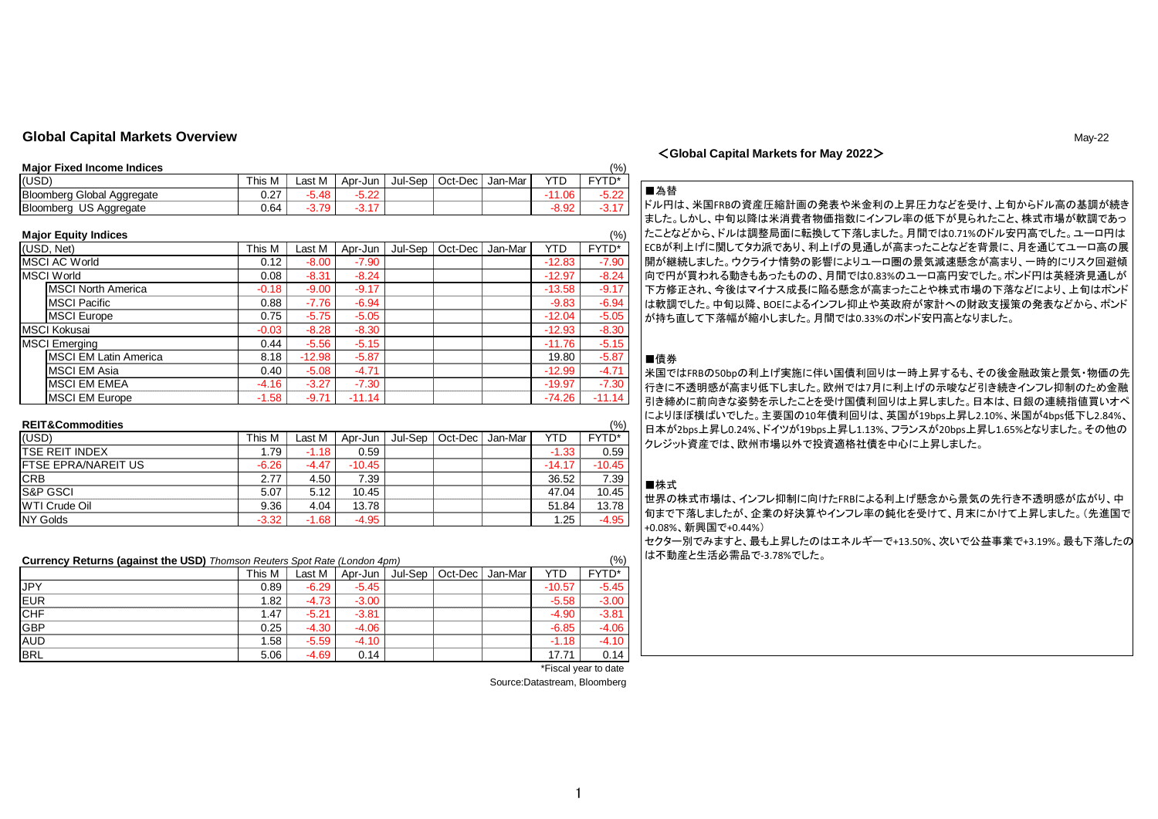# **Global Capital Markets Overview** May-22

## <**Global Capital Markets for May 2022**>

#### **Major Fixed Income Indices** (%)

|                                        |               |        |              |                           |                |         |           | .                 |
|----------------------------------------|---------------|--------|--------------|---------------------------|----------------|---------|-----------|-------------------|
| (USD)                                  | This<br>IVI.  | _ast M | Apr-<br>∙Jun | ·Sep<br>Jul- <sup>c</sup> | Dec<br>$Oct-I$ | Jan-Mar | ╷୵⊤Ⴡ<br>- | <b>CVTN*</b><br>┕ |
| Bloomberg<br>، Global '<br>' Aggregate | $\sim$<br>◡.∠ | 40     | $\sim$       |                           |                |         | .06       | הה ה<br>3.ZZ      |
| Bloomberg<br>US<br>Aggregate           | 0.64          | 70.    |              |                           |                |         | 8.92      | .                 |

#### **Major Equity Indices** (%)

| 11.44                        |         |          |          |         |         |         |          | $\sqrt{2}$ |
|------------------------------|---------|----------|----------|---------|---------|---------|----------|------------|
| (USD, Net)                   | This M  | Last M   | Apr-Jun  | Jul-Sep | Oct-Dec | Jan-Mar | YTD      | FYTD*      |
| <b>MSCI AC World</b>         | 0.12    | $-8.00$  | $-7.90$  |         |         |         | $-12.83$ | $-7.90$    |
| <b>MSCI World</b>            | 0.08    | $-8.31$  | $-8.24$  |         |         |         | $-12.97$ | $-8.24$    |
| <b>MSCI North America</b>    | $-0.18$ | $-9.00$  | $-9.17$  |         |         |         | $-13.58$ | $-9.17$    |
| <b>MSCI Pacific</b>          | 0.88    | $-7.76$  | $-6.94$  |         |         |         | $-9.83$  | $-6.94$    |
| <b>MSCI</b> Europe           | 0.75    | $-5.75$  | $-5.05$  |         |         |         | $-12.04$ | $-5.05$    |
| <b>MSCI Kokusai</b>          | $-0.03$ | $-8.28$  | $-8.30$  |         |         |         | $-12.93$ | $-8.30$    |
| <b>MSCI Emerging</b>         | 0.44    | $-5.56$  | $-5.15$  |         |         |         | $-11.76$ | $-5.15$    |
| <b>MSCI EM Latin America</b> | 8.18    | $-12.98$ | $-5.87$  |         |         |         | 19.80    | $-5.87$    |
| <b>MSCI EM Asia</b>          | 0.40    | $-5.08$  | $-4.71$  |         |         |         | $-12.99$ | $-4.71$    |
| <b>MSCI EM EMEA</b>          | $-4.16$ | $-3.27$  | $-7.30$  |         |         |         | $-19.97$ | $-7.30$    |
| <b>MSCI EM Europe</b>        | $-1.58$ | $-9.71$  | $-11.14$ |         |         |         | $-74.26$ | $-11.14$   |

| <b>REIT&amp;Commodities</b> |  |
|-----------------------------|--|
|-----------------------------|--|

| <b>REIT&amp;Commodities</b> |         |         |          |         |                 |          | (% )     | 日本が2bps上昇し0.24%、ドイツ;                                 |
|-----------------------------|---------|---------|----------|---------|-----------------|----------|----------|------------------------------------------------------|
| (USD)                       | This M  | Last M  | ∟Apr-Jun | Jul-Sep | Oct-Dec Jan-Mar | YTD      | FYTD*    | クレジット資産では、欧州市場以                                      |
| <b>ITSE REIT INDEX</b>      | l.79    | $-1.18$ | 0.59     |         |                 | $-1.33$  | 0.59     |                                                      |
| <b>IFTSE EPRA/NAREIT US</b> | $-6.26$ | -4.47   | $-10.45$ |         |                 | $-14.17$ | $-10.45$ |                                                      |
| <b>CRB</b>                  | 2.77    | 4.50    | 7.39     |         |                 | 36.52    | 7.39     | ■株式                                                  |
| <b>S&amp;P GSCI</b>         | 5.07    | 5.12    | 10.45    |         |                 | 47.04    | 10.45    | 世界の株式市場は、インフレ抑制                                      |
| <b>WTI Crude Oil</b>        | 9.36    | 4.04    | 13.78    |         |                 | 51.84    | 13.78    |                                                      |
| NY Golds                    | $-3.32$ | $-1.68$ | $-4.95$  |         |                 | .25      | $-4.95$  | 旬まで下落しましたが、企業のタ<br>$0.000/20E \boxplus \blacksquare$ |

| <b>Currency Returns (against the USD)</b> Thomson Reuters Spot Rate (London 4pm) |        |         |         |         |         |         |          |              |
|----------------------------------------------------------------------------------|--------|---------|---------|---------|---------|---------|----------|--------------|
|                                                                                  | This M | Last M  | Apr-Jun | Jul-Sep | Oct-Dec | Jan-Mar | YTD      | <b>FYTD*</b> |
| <b>JPY</b>                                                                       | 0.89   | $-6.29$ | $-5.45$ |         |         |         | $-10.57$ | $-5.45$      |
| <b>EUR</b>                                                                       | 1.82   | $-4.73$ | -3.00   |         |         |         | $-5.58$  | $-3.00$      |
| <b>CHF</b>                                                                       | 1.47   | $-5.21$ | $-3.81$ |         |         |         | -4.90    | $-3.81$      |
| <b>GBP</b>                                                                       | 0.25   | $-4.30$ | -4.06   |         |         |         | -6.85    | $-4.06$      |
| <b>AUD</b>                                                                       | .58    | $-5.59$ | $-4.10$ |         |         |         | $-1.18$  | $-4.10$      |
| <b>BRL</b>                                                                       | 5.06   | $-4.69$ | 0.14    |         |         |         | 17.71    | 0.14         |

\*Fiscal year to date

## ■為替

ドル円は、米国FRBの資産圧縮計画の発表や米金利の上昇圧力などを受け、上旬からドル高の基調が続き ました。しかし、中旬以降は米消費者物価指数にインフレ率の低下が見られたこと、株式市場が軟調であっ たことなどから、ドルは調整局面に転換して下落しました。月間では0.71%のドル安円高でした。ユーロ円は ECBが利上げに関してタカ派であり、利上げの見通しが高まったことなどを背景に、月を通じてユーロ高の展 開が継続しました。ウクライナ情勢の影響によりユーロ圏の景気減速懸念が高まり、一時的にリスク回避傾 向で円が買われる動きもあったものの、月間では0.83%のユーロ高円安でした。ポンド円は英経済見通しが 下方修正され、今後はマイナス成長に陥る懸念が高まったことや株式市場の下落などにより、上旬はポンド は軟調でした。中旬以降、BOEによるインフレ抑止や英政府が家計への財政支援策の発表などから、ポンド が持ち直して下落幅が縮小しました。月間では0.33%のポンド安円高となりました。

### ■債券

米国ではFRBの50bpの利上げ実施に伴い国債利回りは一時上昇するも、その後金融政策と景気・物価の先 行きに不透明感が高まり低下しました。欧州では7月に利上げの示唆など引き続きインフレ抑制のため金融 引き締めに前向きな姿勢を示したことを受け国債利回りは上昇しました。日本は、日銀の連続指値買いオペ によりほぼ横ばいでした。主要国の10年債利回りは、英国が19bps上昇し2.10%、米国が4bps低下し2.84%、 日本が2bps上昇し0.24%、ドイツが19bps上昇し1.13%、フランスが20bps上昇し1.65%となりました。その他の クレジット資産では、欧州市場以外で投資適格社債を中心に上昇しました。

## ■株式

世界の株式市場は、インフレ抑制に向けたFRBによる利上げ懸念から景気の先行き不透明感が広がり、中 旬まで下落しましたが、企業の好決算やインフレ率の鈍化を受けて、月末にかけて上昇しました。(先進国で +0.08%、新興国で+0.44%) セクター別でみますと、最も上昇したのはエネルギーで+13.50%、次いで公益事業で+3.19%。最も下落したの は不動産と生活必需品で-3.78%でした。